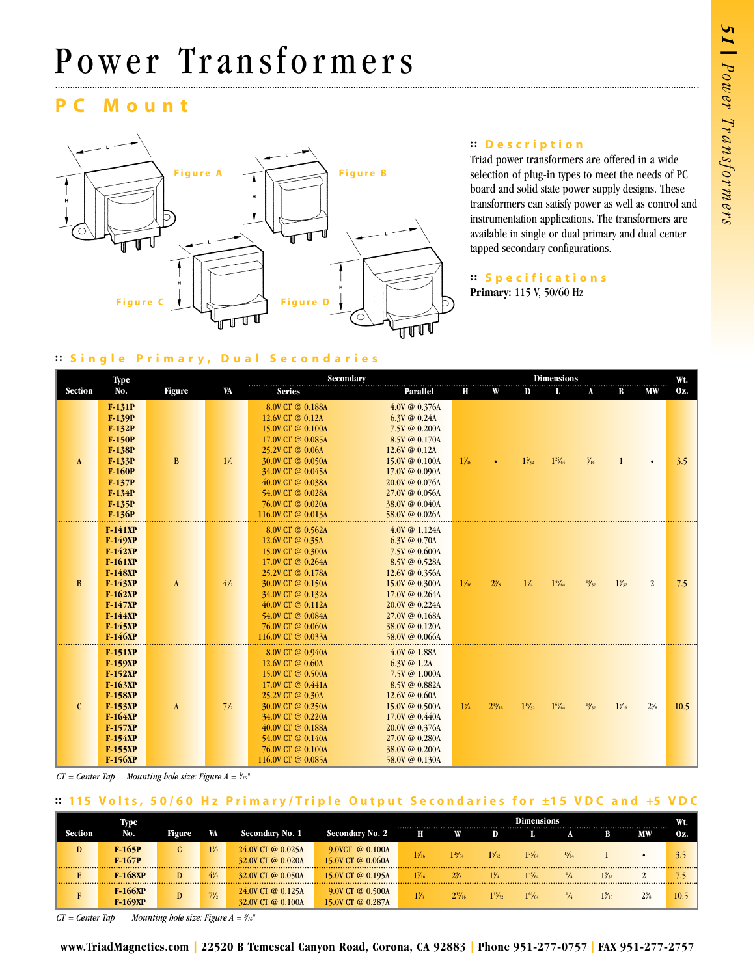# Power Transformers

## **Mount**



#### **: : Description**

Triad power transformers are offered in a wide selection of plug-in types to meet the needs of PC board and solid state power supply designs. These transformers can satisfy power as well as control and instrumentation applications. The transformers are available in single or dual primary and dual center tapped secondary configurations.

#### **: : Specifications**

**Primary:** 115 V, 50/60 Hz

## **: : Single Primary, Dual Secondaries**

| Type           |                                                                                                                                                                            |              |                | <b>Dimensions</b>                                                                                                                                                                                                                  |                                                                                                                                                                                                              |                 |                |                  |                |                 | Wt.             |                |      |
|----------------|----------------------------------------------------------------------------------------------------------------------------------------------------------------------------|--------------|----------------|------------------------------------------------------------------------------------------------------------------------------------------------------------------------------------------------------------------------------------|--------------------------------------------------------------------------------------------------------------------------------------------------------------------------------------------------------------|-----------------|----------------|------------------|----------------|-----------------|-----------------|----------------|------|
| <b>Section</b> | No.                                                                                                                                                                        | Figure       | VA             | <b>Series</b>                                                                                                                                                                                                                      | Parallel                                                                                                                                                                                                     | Н               | W              | $\mathbf{D}$     | L              | A               | В               | MW             | Oz.  |
| $\mathbf{A}$   | F-131P<br>F-139P<br>$F-132P$<br>$F-150P$<br>F-138P<br>F-133P<br><b>F-160P</b><br>$F-137P$<br>$F-134P$<br>F-135P<br>$F-136P$                                                | $\, {\bf B}$ | $1\frac{1}{2}$ | 8.0V CT @ 0.188A<br>12.6V CT @ 0.12A<br>15.0V CT @ 0.100A<br>17.0V CT @ 0.085A<br>25.2V CT @ 0.06A<br>30.0V CT @ 0.050A<br>34.0V CT @ 0.045A<br>40.0V CT @ 0.038A<br>54.0V CT @ 0.028A<br>76.0V CT @ 0.020A<br>116.0V CT @ 0.013A  | 4.0V @ 0.376A<br>$6.3V \tQ 0.24A$<br>7.5V @ 0.200A<br>8.5V @ 0.170A<br>$12.6V \tQ 0.12A$<br>15.0V @ 0.100A<br>$17.0V \t@ 0.090A$<br>$20.0V \t@ 0.076A$<br>27.0V @ 0.056A<br>38.0V @ 0.040A<br>58.0V @ 0.026A | $1\frac{3}{16}$ |                | $1\frac{7}{32}$  | $1^{25}/64$    | $\frac{5}{16}$  |                 |                | 3.5  |
| B              | F-141XP<br><b>F-149XP</b><br><b>F-142XP</b><br>$F-161XP$<br><b>F-148XP</b><br><b>F-143XP</b><br>$F-162XP$<br><b>F-147XP</b><br>F-144XP<br><b>F-145XP</b><br><b>F-146XP</b> | $\mathbf{A}$ | $4\frac{1}{2}$ | 8.0V CT @ 0.562A<br>12.6V CT @ 0.35A<br>15.0V CT @ 0.300A<br>17.0V CT @ 0.264A<br>25.2V CT @ 0.178A<br>30.0V CT @ 0.150A<br>34.0V CT @ 0.132A<br>40.0V CT @ 0.112A<br>54.0V CT @ 0.084A<br>76.0V CT @ 0.060A<br>116.0V CT @ 0.033A | $4.0V \t@ 1.124A$<br>$6.3V \tQ 0.70A$<br>7.5V @ 0.600A<br>8.5V @ 0.528A<br>$12.6V \t@ 0.356A$<br>15.0V @ 0.300A<br>17.0V @ 0.264A<br>20.0V @ 0.224A<br>27.0V @ 0.168A<br>38.0V @ 0.120A<br>58.0V @ 0.066A    | $1\%$           | $2\frac{3}{8}$ | $1\frac{1}{4}$   | $1^{45}/_{64}$ | $\frac{13}{32}$ | $1\frac{3}{2}$  | 2              | 7.5  |
| $\mathbf{C}$   | <b>F-151XP</b><br>F-159XP<br>F-152XP<br><b>F-163XP</b><br>F-158XP<br>F-153XP<br><b>F-164XP</b><br>F-157XP<br>F-154XP<br>F-155XP<br><b>F-156XP</b>                          | A            | $7\frac{1}{2}$ | 8.0V CT @ 0.940A<br>12.6V CT @ 0.60A<br>15.0V CT @ 0.500A<br>17.0V CT @ 0.441A<br>25.2V CT @ 0.30A<br>30.0V CT @ 0.250A<br>34.0V CT @ 0.220A<br>40.0V CT @ 0.188A<br>54.0V CT @ 0.140A<br>76.0V CT @ 0.100A<br>116.0V CT @ 0.085A  | 4.0V @ 1.88A<br>$6.3V \tQ 1.2A$<br>7.5V @ 1.000A<br>8.5V @ 0.882A<br>$12.6V \& 0.60A$<br>15.0V @ 0.500A<br>17.0V @ 0.440A<br>$20.0V \& 0.376A$<br>27.0V @ 0.280A<br>38.0V @ 0.200A<br>58.0V @ 0.130A         | $1\frac{5}{6}$  | $2^{13}/_{16}$ | $1\frac{15}{32}$ | $1^{61}/_{64}$ | $\frac{13}{32}$ | $1\frac{5}{16}$ | $2\frac{3}{8}$ | 10.5 |

*CT = Center Tap Mounting hole size: Figure A = 3 /16"*

### **:: 1 15 V o l t s , 5 0 / 6 0 H z P r i m a r y / T r i p l e O u t p u t S e c o n d a r i e s f o r ±1 5 V D C a n d +5 V D C**

|         | Type                             |               |                |                                        |                                          | <b>Dimensions</b><br> |                |                 |             |                 |                 |    |      |  |
|---------|----------------------------------|---------------|----------------|----------------------------------------|------------------------------------------|-----------------------|----------------|-----------------|-------------|-----------------|-----------------|----|------|--|
| Section | No.                              | <b>Figure</b> | VA             | Secondary No. 1                        | Secondary No. 2                          | Н                     | w              | D               |             |                 | В               | МW | Oz.  |  |
| D       | $F-165P$<br>$F-167P$             | ι.            | $1\frac{1}{2}$ | 24.0V CT @ 0.025A<br>32.0V CT @ 0.020A | $9.0VCT \t@ 0.100A$<br>15.0V CT @ 0.060A | $1\frac{3}{16}$       | $1^{25}$ /64   | $1\frac{5}{32}$ | $1^{25}/64$ | $\frac{13}{64}$ |                 |    |      |  |
|         | <b>F-168XP</b>                   |               | $4\frac{1}{2}$ | 32.0V CT @ 0.050A                      | 15.0V CT @ 0.195A                        | $1\frac{7}{16}$       |                |                 | 145/64      |                 | $1\frac{3}{32}$ |    |      |  |
|         | <b>F-166XP</b><br><b>F-169XP</b> | D             | $7\frac{1}{2}$ | 24.0V CT @ 0.125A<br>32.0V CT @ 0.100A | 9.0V CT @ 0.500A<br>15.0V CT @ 0.287A    | $1\frac{7}{8}$        | $2^{13}/_{16}$ |                 | $1^{61}/64$ |                 | $1\frac{7}{16}$ |    | 10.5 |  |

 $CT = Center$  *Tap* Mounting hole size: Figure  $A = \frac{3}{16}$ "